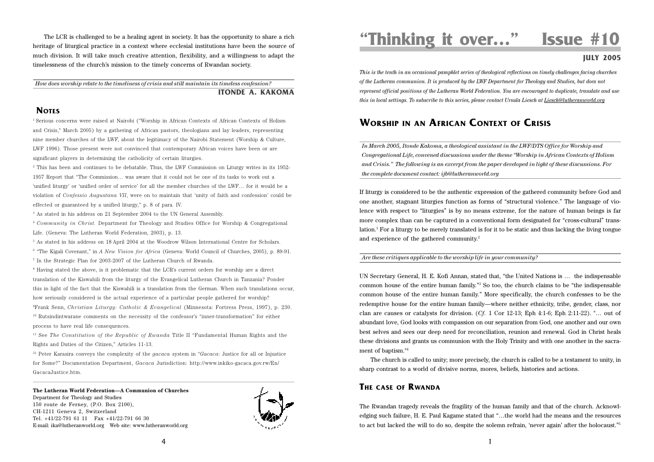The LCR is challenged to be a healing agent in society. It has the opportunity to share a rich heritage of liturgical practice in a context where ecclesial institutions have been the source of much division. It will take much creative attention, flexibility, and a willingness to adapt the timelessness of the church's mission to the timely concerns of Rwandan society.

*How does worship relate to the timeliness of crisis and still maintain its timeless confession?*

**ITONDE A. KAKOMA**

### **NOTES**

1 Serious concerns were raised at Nairobi ("Worship in African Contexts of African Contexts of Holism and Crisis," March 2005) by a gathering of African pastors, theologians and lay leaders, representing nine member churches of the LWF, about the legitimacy of the Nairobi Statement (Worship & Culture, LWF 1996). Those present were not convinced that contemporary African voices have been or are significant players in determining the catholicity of certain liturgies.

2 This has been and continues to be debatable. Thus, the LWF Commission on Liturgy writes in its 1952- 1957 Report that "The Commission… was aware that it could not be one of its tasks to work out a 'unified liturgy' or 'unified order of service' for all the member churches of the LWF… for it would be a violation of *Confessio Augustana VII*, were on to maintain that 'unity of faith and confession' could be effected or guaranteed by a unified liturgy," p. 8 of para. IV.

3 As stated in his address on 21 September 2004 to the UN General Assembly.

<sup>4</sup> *Community in Christ.* Department for Theology and Studies Office for Worship & Congregational Life. (Geneva: The Lutheran World Federation, 2003), p. 13.

5 As stated in his address on 18 April 2004 at the Woodrow Wilson International Centre for Scholars.

6 "The Kigali Covenant," in *A New Vision for Africa* (Geneva: World Council of Churches, 2005), p. 89-91. 7 In the Strategic Plan for 2003-2007 of the Lutheran Church of Rwanda.

8 Having stated the above, is it problematic that the LCR's current orders for worship are a direct translation of the Kiswahili from the liturgy of the Evangelical Lutheran Church in Tanzania? Ponder this in light of the fact that the Kiswahili is a translation from the German. When such translations occur, how seriously considered is the actual experience of a particular people gathered for worship?

9Frank Senn, *Christian Liturgy: Catholic & Evangelical* (Minnesota: Fortress Press, 1997), p. 230. 10 Rutsindintwarane comments on the necessity of the confessor's "inner-transformation" for either process to have real life consequences.

11 See *The Constitution of the Republic of Rwanda* Title II "Fundamental Human Rights and the Rights and Duties of the Citizen," Articles 11-13.

12 Peter Karasira conveys the complexity of the *gacaca* system in "*Gacaca*: Justice for all or Injustice for Some?" Documentation Department, *Gacaca* Jurisdiction: http://www.inkiko-gacaca.gov.rw/En/ GacacaJustice.htm.

#### **The Lutheran World Federation—A Communion of Churches** Department for Theology and Studies 150 route de Ferney, (P.O. Box 2100), CH-1211 Geneva 2, Switzerland Tel. +41/22-791 61 11 Fax +41/22-791 66 30 E-mail: ika@lutheranworld.org Web site: www.lutheranworld.org



# **"Thinking it over…" Issue #10**

### **JULY 2005**

*This is the tenth in an occasional pamphlet series of theological reflections on timely challenges facing churches of the Lutheran communion. It is produced by the LWF Department for Theology and Studies, but does not represent official positions of the Lutheran World Federation. You are encouraged to duplicate, translate and use this in local settings. To subscribe to this series, please contact Ursula Liesch at Liesch@lutheranworld.org*

# **WORSHIP IN AN AFRICAN CONTEXT OF CRISIS**

*In March 2005, Itonde Kakoma, a theological assistant in the LWF/DTS Office for Worship and Congregational Life, convened discussions under the theme "Worship in African Contexts of Holism and Crisis." The following is an excerpt from the paper developed in light of these discussions. For the complete document contact: ijb@lutheranworld.org*

If liturgy is considered to be the authentic expression of the gathered community before God and one another, stagnant liturgies function as forms of "structural violence." The language of violence with respect to "liturgies" is by no means extreme, for the nature of human beings is far more complex than can be captured in a conventional form designated for "cross-cultural" translation.<sup>1</sup> For a liturgy to be merely translated is for it to be static and thus lacking the living tongue and experience of the gathered community.2

### *Are these critiques applicable to the worship life in your community?*

UN Secretary General, H. E. Kofi Annan, stated that, "the United Nations is … the indispensable common house of the entire human family."3 So too, the church claims to be "the indispensable common house of the entire human family." More specifically, the church confesses to be the redemptive house for the entire human family—where neither ethnicity, tribe, gender, class, nor clan are causes or catalysts for division. (*Cf.* 1 Cor 12-13; Eph 4:1-6; Eph 2:11-22). "… out of abundant love, God looks with compassion on our separation from God, one another and our own best selves and sees our deep need for reconciliation, reunion and renewal. God in Christ heals these divisions and grants us communion with the Holy Trinity and with one another in the sacrament of baptism."4

The church is called to unity; more precisely, the church is called to be a testament to unity, in sharp contrast to a world of divisive norms, mores, beliefs, histories and actions.

## **THE CASE OF RWANDA**

The Rwandan tragedy reveals the fragility of the human family and that of the church. Acknowledging such failure, H. E. Paul Kagame stated that "…the world had the means and the resources to act but lacked the will to do so, despite the solemn refrain, 'never again' after the holocaust."5